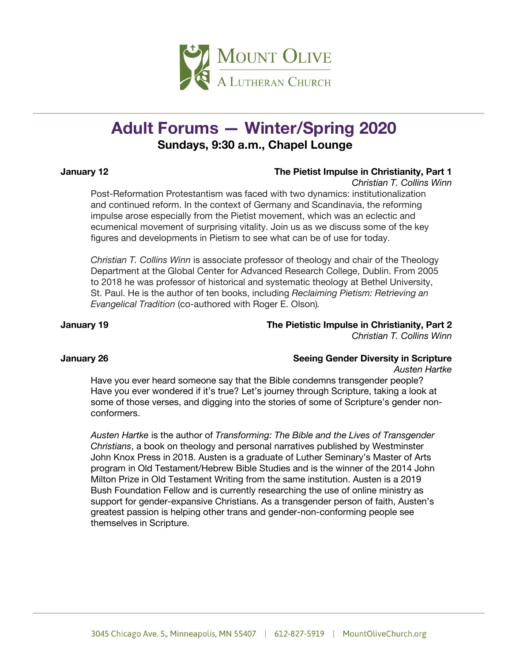

# **Adult Forums — Winter/Spring 2020 Sundays, 9:30 a.m., Chapel Lounge**

### **January 12 The Pietist Impulse in Christianity, Part 1**

*Christian T. Collins Winn*

Post-Reformation Protestantism was faced with two dynamics: institutionalization and continued reform. In the context of Germany and Scandinavia, the reforming impulse arose especially from the Pietist movement, which was an eclectic and ecumenical movement of surprising vitality. Join us as we discuss some of the key figures and developments in Pietism to see what can be of use for today.

*Christian T. Collins Winn* is associate professor of theology and chair of the Theology Department at the Global Center for Advanced Research College, Dublin. From 2005 to 2018 he was professor of historical and systematic theology at Bethel University, St. Paul. He is the author of ten books, including *Reclaiming Pietism: Retrieving an Evangelical Tradition* (co-authored with Roger E. Olson)*.*

## **January 19 The Pietistic Impulse in Christianity, Part 2**

*Christian T. Collins Winn*

# **January 26 Seeing Gender Diversity in Scripture**

*Austen Hartke*

Have you ever heard someone say that the Bible condemns transgender people? Have you ever wondered if it's true? Let's journey through Scripture, taking a look at some of those verses, and digging into the stories of some of Scripture's gender nonconformers.

*Austen Hartke* is the author of *Transforming: The Bible and the Lives of Transgender Christians*, a book on theology and personal narratives published by Westminster John Knox Press in 2018. Austen is a graduate of Luther Seminary's Master of Arts program in Old Testament/Hebrew Bible Studies and is the winner of the 2014 John Milton Prize in Old Testament Writing from the same institution. Austen is a 2019 Bush Foundation Fellow and is currently researching the use of online ministry as support for gender-expansive Christians. As a transgender person of faith, Austen's greatest passion is helping other trans and gender-non-conforming people see themselves in Scripture.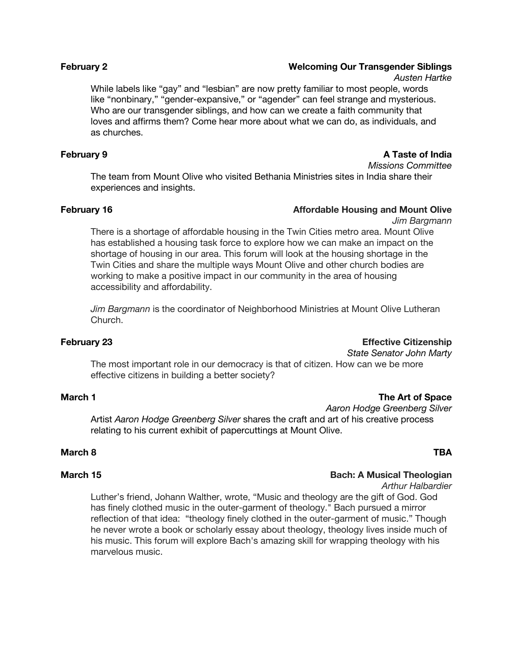### **February 2 Welcoming Our Transgender Siblings**

*Austen Hartke*

While labels like "gay" and "lesbian" are now pretty familiar to most people, words like "nonbinary," "gender-expansive," or "agender" can feel strange and mysterious. Who are our transgender siblings, and how can we create a faith community that loves and affirms them? Come hear more about what we can do, as individuals, and as churches.

### **February 9 A Taste of India**

*Missions Committee*

The team from Mount Olive who visited Bethania Ministries sites in India share their experiences and insights.

### **February 16 Affordable Housing and Mount Olive**

*Jim Bargmann*

There is a shortage of affordable housing in the Twin Cities metro area. Mount Olive has established a housing task force to explore how we can make an impact on the shortage of housing in our area. This forum will look at the housing shortage in the Twin Cities and share the multiple ways Mount Olive and other church bodies are working to make a positive impact in our community in the area of housing accessibility and affordability.

*Jim Bargmann* is the coordinator of Neighborhood Ministries at Mount Olive Lutheran Church.

### **February 23 Effective Citizenship**

*State Senator John Marty*

The most important role in our democracy is that of citizen. How can we be more effective citizens in building a better society?

### **March 1 The Art of Space**

*Aaron Hodge Greenberg Silver*

Artist *Aaron Hodge Greenberg Silver* shares the craft and art of his creative process relating to his current exhibit of papercuttings at Mount Olive.

### **March 8 TBA**

### **March 15 Bach: A Musical Theologian**

*Arthur Halbardier*

Luther's friend, Johann Walther, wrote, "Music and theology are the gift of God. God has finely clothed music in the outer-garment of theology." Bach pursued a mirror reflection of that idea: "theology finely clothed in the outer-garment of music." Though he never wrote a book or scholarly essay about theology, theology lives inside much of his music. This forum will explore Bach's amazing skill for wrapping theology with his marvelous music.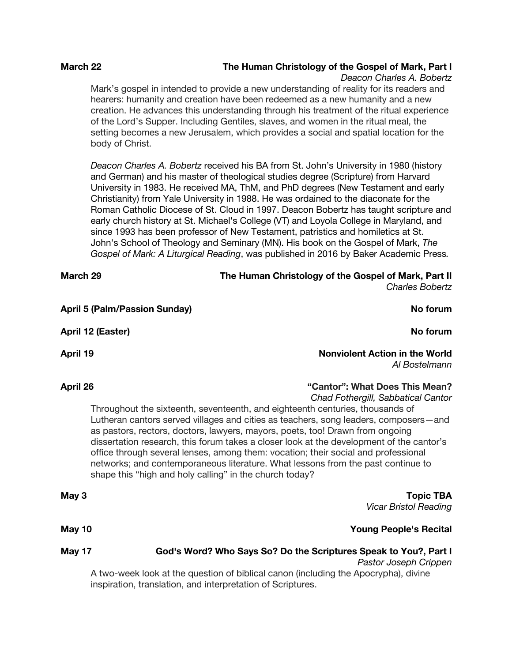### **March 22 The Human Christology of the Gospel of Mark, Part I**

*Deacon Charles A. Bobertz* 

Mark's gospel in intended to provide a new understanding of reality for its readers and hearers: humanity and creation have been redeemed as a new humanity and a new creation. He advances this understanding through his treatment of the ritual experience of the Lord's Supper. Including Gentiles, slaves, and women in the ritual meal, the setting becomes a new Jerusalem, which provides a social and spatial location for the body of Christ.

*Deacon Charles A. Bobertz* received his BA from St. John's University in 1980 (history and German) and his master of theological studies degree (Scripture) from Harvard University in 1983. He received MA, ThM, and PhD degrees (New Testament and early Christianity) from Yale University in 1988. He was ordained to the diaconate for the Roman Catholic Diocese of St. Cloud in 1997. Deacon Bobertz has taught scripture and early church history at St. Michael's College (VT) and Loyola College in Maryland, and since 1993 has been professor of New Testament, patristics and homiletics at St. John's School of Theology and Seminary (MN). His book on the Gospel of Mark, *The Gospel of Mark: A Liturgical Reading*, was published in 2016 by Baker Academic Press*.*

| March 29 |                                                         | The Human Christology of the Gospel of Mark, Part II<br><b>Charles Bobertz</b>                                                                                                                                                                                                                                                                                                                                                                                                                                                                                                                       |
|----------|---------------------------------------------------------|------------------------------------------------------------------------------------------------------------------------------------------------------------------------------------------------------------------------------------------------------------------------------------------------------------------------------------------------------------------------------------------------------------------------------------------------------------------------------------------------------------------------------------------------------------------------------------------------------|
|          | <b>April 5 (Palm/Passion Sunday)</b>                    | No forum                                                                                                                                                                                                                                                                                                                                                                                                                                                                                                                                                                                             |
|          | April 12 (Easter)                                       | No forum                                                                                                                                                                                                                                                                                                                                                                                                                                                                                                                                                                                             |
| April 19 |                                                         | <b>Nonviolent Action in the World</b><br>Al Bostelmann                                                                                                                                                                                                                                                                                                                                                                                                                                                                                                                                               |
| April 26 | shape this "high and holy calling" in the church today? | "Cantor": What Does This Mean?<br>Chad Fothergill, Sabbatical Cantor<br>Throughout the sixteenth, seventeenth, and eighteenth centuries, thousands of<br>Lutheran cantors served villages and cities as teachers, song leaders, composers—and<br>as pastors, rectors, doctors, lawyers, mayors, poets, too! Drawn from ongoing<br>dissertation research, this forum takes a closer look at the development of the cantor's<br>office through several lenses, among them: vocation; their social and professional<br>networks; and contemporaneous literature. What lessons from the past continue to |
| May 3    |                                                         | <b>Topic TBA</b><br><b>Vicar Bristol Reading</b>                                                                                                                                                                                                                                                                                                                                                                                                                                                                                                                                                     |
| May 10   |                                                         | <b>Young People's Recital</b>                                                                                                                                                                                                                                                                                                                                                                                                                                                                                                                                                                        |
| May 17   |                                                         | God's Word? Who Says So? Do the Scriptures Speak to You?, Part I                                                                                                                                                                                                                                                                                                                                                                                                                                                                                                                                     |

*Pastor Joseph Crippen* A two-week look at the question of biblical canon (including the Apocrypha), divine inspiration, translation, and interpretation of Scriptures.